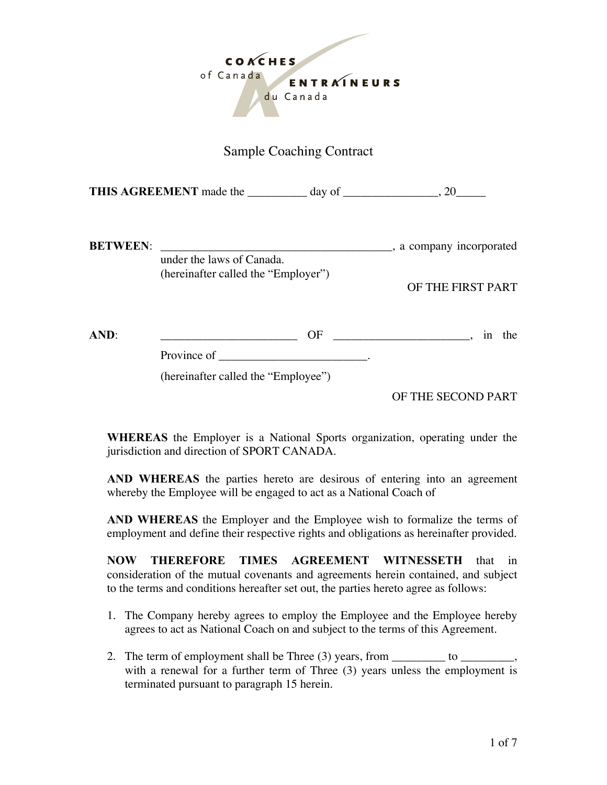

## Sample Coaching Contract

**THIS AGREEMENT** made the \_\_\_\_\_\_\_\_\_\_ day of \_\_\_\_\_\_\_\_\_\_\_\_\_\_\_\_, 20\_\_\_\_\_

| <b>BETWEEN:</b> | under the laws of Canada.           | , a company incorporated |
|-----------------|-------------------------------------|--------------------------|
|                 | (hereinafter called the "Employer") | OF THE FIRST PART        |
| AND:            | OF<br>Province of                   | the<br>1n                |

(hereinafter called the "Employee")

OF THE SECOND PART

**WHEREAS** the Employer is a National Sports organization, operating under the jurisdiction and direction of SPORT CANADA.

**AND WHEREAS** the parties hereto are desirous of entering into an agreement whereby the Employee will be engaged to act as a National Coach of

**AND WHEREAS** the Employer and the Employee wish to formalize the terms of employment and define their respective rights and obligations as hereinafter provided.

**NOW THEREFORE TIMES AGREEMENT WITNESSETH** that in consideration of the mutual covenants and agreements herein contained, and subject to the terms and conditions hereafter set out, the parties hereto agree as follows:

- 1. The Company hereby agrees to employ the Employee and the Employee hereby agrees to act as National Coach on and subject to the terms of this Agreement.
- 2. The term of employment shall be Three  $(3)$  years, from  $\qquad \qquad$  to  $\qquad \qquad$ with a renewal for a further term of Three (3) years unless the employment is terminated pursuant to paragraph 15 herein.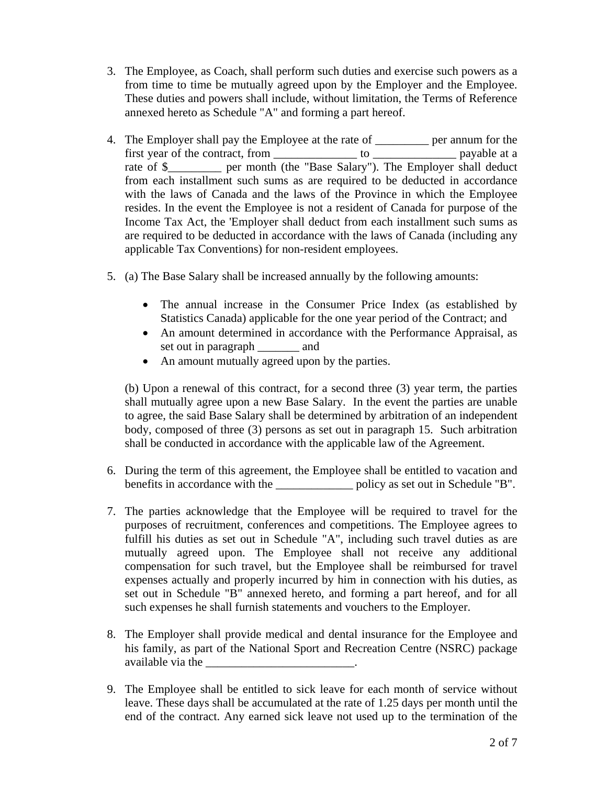- 3. The Employee, as Coach, shall perform such duties and exercise such powers as a from time to time be mutually agreed upon by the Employer and the Employee. These duties and powers shall include, without limitation, the Terms of Reference annexed hereto as Schedule "A" and forming a part hereof.
- 4. The Employer shall pay the Employee at the rate of \_\_\_\_\_\_\_\_\_ per annum for the first year of the contract, from \_\_\_\_\_\_\_\_\_\_\_\_\_\_ to \_\_\_\_\_\_\_\_\_\_\_\_\_\_ payable at a rate of \$\_\_\_\_\_\_\_\_\_\_ per month (the "Base Salary"). The Employer shall deduct from each installment such sums as are required to be deducted in accordance with the laws of Canada and the laws of the Province in which the Employee resides. In the event the Employee is not a resident of Canada for purpose of the Income Tax Act, the 'Employer shall deduct from each installment such sums as are required to be deducted in accordance with the laws of Canada (including any applicable Tax Conventions) for non-resident employees.
- 5. (a) The Base Salary shall be increased annually by the following amounts:
	- The annual increase in the Consumer Price Index (as established by Statistics Canada) applicable for the one year period of the Contract; and
	- An amount determined in accordance with the Performance Appraisal, as set out in paragraph and
	- An amount mutually agreed upon by the parties.

(b) Upon a renewal of this contract, for a second three (3) year term, the parties shall mutually agree upon a new Base Salary. In the event the parties are unable to agree, the said Base Salary shall be determined by arbitration of an independent body, composed of three (3) persons as set out in paragraph 15. Such arbitration shall be conducted in accordance with the applicable law of the Agreement.

- 6. During the term of this agreement, the Employee shall be entitled to vacation and benefits in accordance with the \_\_\_\_\_\_\_\_\_\_\_\_\_ policy as set out in Schedule "B".
- 7. The parties acknowledge that the Employee will be required to travel for the purposes of recruitment, conferences and competitions. The Employee agrees to fulfill his duties as set out in Schedule "A", including such travel duties as are mutually agreed upon. The Employee shall not receive any additional compensation for such travel, but the Employee shall be reimbursed for travel expenses actually and properly incurred by him in connection with his duties, as set out in Schedule "B" annexed hereto, and forming a part hereof, and for all such expenses he shall furnish statements and vouchers to the Employer.
- 8. The Employer shall provide medical and dental insurance for the Employee and his family, as part of the National Sport and Recreation Centre (NSRC) package available via the \_\_\_\_\_\_\_\_\_\_\_\_\_\_\_\_\_\_\_\_\_\_\_\_\_\_\_\_\_.
- 9. The Employee shall be entitled to sick leave for each month of service without leave. These days shall be accumulated at the rate of 1.25 days per month until the end of the contract. Any earned sick leave not used up to the termination of the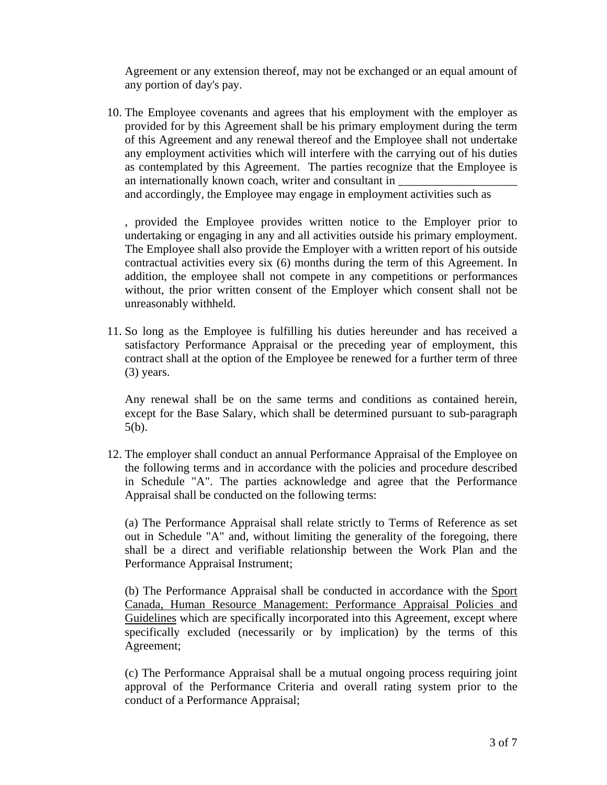Agreement or any extension thereof, may not be exchanged or an equal amount of any portion of day's pay.

10. The Employee covenants and agrees that his employment with the employer as provided for by this Agreement shall be his primary employment during the term of this Agreement and any renewal thereof and the Employee shall not undertake any employment activities which will interfere with the carrying out of his duties as contemplated by this Agreement. The parties recognize that the Employee is an internationally known coach, writer and consultant in

and accordingly, the Employee may engage in employment activities such as

, provided the Employee provides written notice to the Employer prior to undertaking or engaging in any and all activities outside his primary employment. The Employee shall also provide the Employer with a written report of his outside contractual activities every six (6) months during the term of this Agreement. In addition, the employee shall not compete in any competitions or performances without, the prior written consent of the Employer which consent shall not be unreasonably withheld.

11. So long as the Employee is fulfilling his duties hereunder and has received a satisfactory Performance Appraisal or the preceding year of employment, this contract shall at the option of the Employee be renewed for a further term of three (3) years.

Any renewal shall be on the same terms and conditions as contained herein, except for the Base Salary, which shall be determined pursuant to sub-paragraph 5(b).

12. The employer shall conduct an annual Performance Appraisal of the Employee on the following terms and in accordance with the policies and procedure described in Schedule "A". The parties acknowledge and agree that the Performance Appraisal shall be conducted on the following terms:

(a) The Performance Appraisal shall relate strictly to Terms of Reference as set out in Schedule "A" and, without limiting the generality of the foregoing, there shall be a direct and verifiable relationship between the Work Plan and the Performance Appraisal Instrument;

(b) The Performance Appraisal shall be conducted in accordance with the Sport Canada, Human Resource Management: Performance Appraisal Policies and Guidelines which are specifically incorporated into this Agreement, except where specifically excluded (necessarily or by implication) by the terms of this Agreement;

(c) The Performance Appraisal shall be a mutual ongoing process requiring joint approval of the Performance Criteria and overall rating system prior to the conduct of a Performance Appraisal;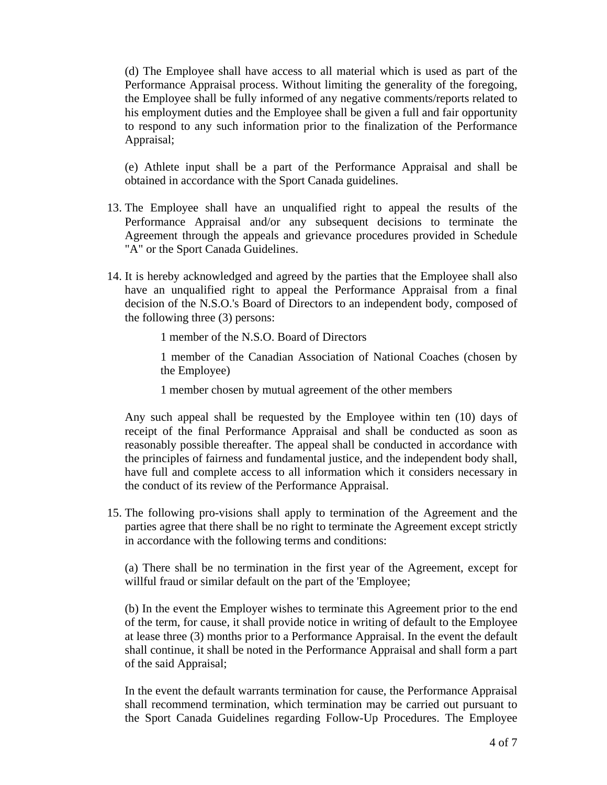(d) The Employee shall have access to all material which is used as part of the Performance Appraisal process. Without limiting the generality of the foregoing, the Employee shall be fully informed of any negative comments/reports related to his employment duties and the Employee shall be given a full and fair opportunity to respond to any such information prior to the finalization of the Performance Appraisal;

(e) Athlete input shall be a part of the Performance Appraisal and shall be obtained in accordance with the Sport Canada guidelines.

- 13. The Employee shall have an unqualified right to appeal the results of the Performance Appraisal and/or any subsequent decisions to terminate the Agreement through the appeals and grievance procedures provided in Schedule "A" or the Sport Canada Guidelines.
- 14. It is hereby acknowledged and agreed by the parties that the Employee shall also have an unqualified right to appeal the Performance Appraisal from a final decision of the N.S.O.'s Board of Directors to an independent body, composed of the following three (3) persons:
	- 1 member of the N.S.O. Board of Directors

1 member of the Canadian Association of National Coaches (chosen by the Employee)

1 member chosen by mutual agreement of the other members

Any such appeal shall be requested by the Employee within ten (10) days of receipt of the final Performance Appraisal and shall be conducted as soon as reasonably possible thereafter. The appeal shall be conducted in accordance with the principles of fairness and fundamental justice, and the independent body shall, have full and complete access to all information which it considers necessary in the conduct of its review of the Performance Appraisal.

15. The following pro-visions shall apply to termination of the Agreement and the parties agree that there shall be no right to terminate the Agreement except strictly in accordance with the following terms and conditions:

(a) There shall be no termination in the first year of the Agreement, except for willful fraud or similar default on the part of the 'Employee;

(b) In the event the Employer wishes to terminate this Agreement prior to the end of the term, for cause, it shall provide notice in writing of default to the Employee at lease three (3) months prior to a Performance Appraisal. In the event the default shall continue, it shall be noted in the Performance Appraisal and shall form a part of the said Appraisal;

In the event the default warrants termination for cause, the Performance Appraisal shall recommend termination, which termination may be carried out pursuant to the Sport Canada Guidelines regarding Follow-Up Procedures. The Employee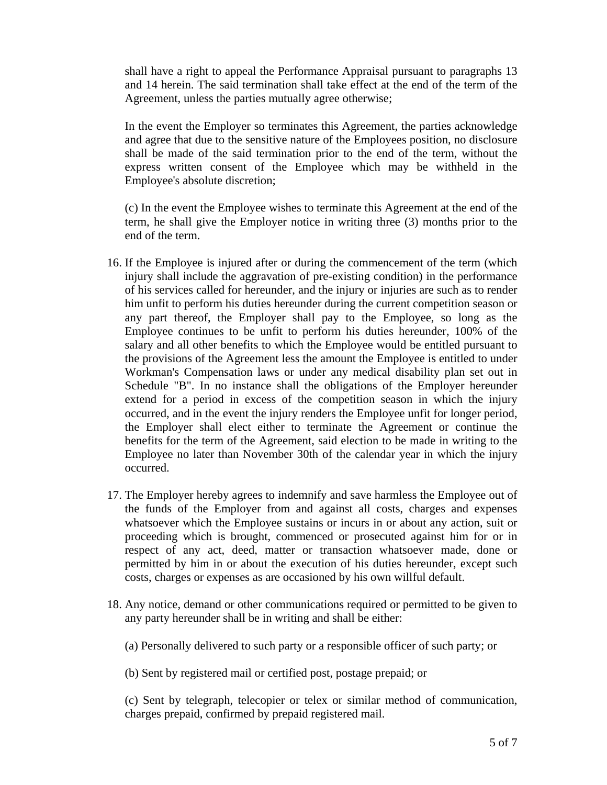shall have a right to appeal the Performance Appraisal pursuant to paragraphs 13 and 14 herein. The said termination shall take effect at the end of the term of the Agreement, unless the parties mutually agree otherwise;

In the event the Employer so terminates this Agreement, the parties acknowledge and agree that due to the sensitive nature of the Employees position, no disclosure shall be made of the said termination prior to the end of the term, without the express written consent of the Employee which may be withheld in the Employee's absolute discretion;

(c) In the event the Employee wishes to terminate this Agreement at the end of the term, he shall give the Employer notice in writing three (3) months prior to the end of the term.

- 16. If the Employee is injured after or during the commencement of the term (which injury shall include the aggravation of pre-existing condition) in the performance of his services called for hereunder, and the injury or injuries are such as to render him unfit to perform his duties hereunder during the current competition season or any part thereof, the Employer shall pay to the Employee, so long as the Employee continues to be unfit to perform his duties hereunder, 100% of the salary and all other benefits to which the Employee would be entitled pursuant to the provisions of the Agreement less the amount the Employee is entitled to under Workman's Compensation laws or under any medical disability plan set out in Schedule "B". In no instance shall the obligations of the Employer hereunder extend for a period in excess of the competition season in which the injury occurred, and in the event the injury renders the Employee unfit for longer period, the Employer shall elect either to terminate the Agreement or continue the benefits for the term of the Agreement, said election to be made in writing to the Employee no later than November 30th of the calendar year in which the injury occurred.
- 17. The Employer hereby agrees to indemnify and save harmless the Employee out of the funds of the Employer from and against all costs, charges and expenses whatsoever which the Employee sustains or incurs in or about any action, suit or proceeding which is brought, commenced or prosecuted against him for or in respect of any act, deed, matter or transaction whatsoever made, done or permitted by him in or about the execution of his duties hereunder, except such costs, charges or expenses as are occasioned by his own willful default.
- 18. Any notice, demand or other communications required or permitted to be given to any party hereunder shall be in writing and shall be either:
	- (a) Personally delivered to such party or a responsible officer of such party; or

(b) Sent by registered mail or certified post, postage prepaid; or

(c) Sent by telegraph, telecopier or telex or similar method of communication, charges prepaid, confirmed by prepaid registered mail.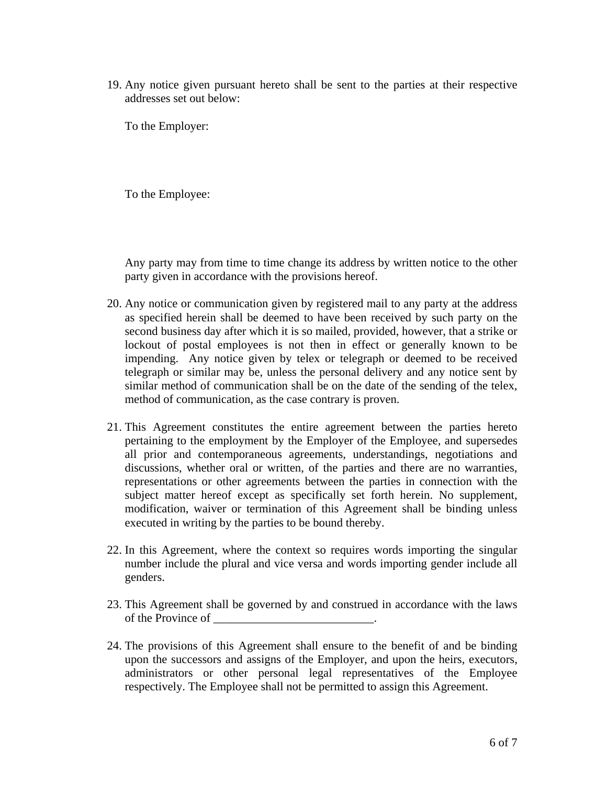19. Any notice given pursuant hereto shall be sent to the parties at their respective addresses set out below:

To the Employer:

To the Employee:

Any party may from time to time change its address by written notice to the other party given in accordance with the provisions hereof.

- 20. Any notice or communication given by registered mail to any party at the address as specified herein shall be deemed to have been received by such party on the second business day after which it is so mailed, provided, however, that a strike or lockout of postal employees is not then in effect or generally known to be impending. Any notice given by telex or telegraph or deemed to be received telegraph or similar may be, unless the personal delivery and any notice sent by similar method of communication shall be on the date of the sending of the telex, method of communication, as the case contrary is proven.
- 21. This Agreement constitutes the entire agreement between the parties hereto pertaining to the employment by the Employer of the Employee, and supersedes all prior and contemporaneous agreements, understandings, negotiations and discussions, whether oral or written, of the parties and there are no warranties, representations or other agreements between the parties in connection with the subject matter hereof except as specifically set forth herein. No supplement, modification, waiver or termination of this Agreement shall be binding unless executed in writing by the parties to be bound thereby.
- 22. In this Agreement, where the context so requires words importing the singular number include the plural and vice versa and words importing gender include all genders.
- 23. This Agreement shall be governed by and construed in accordance with the laws of the Province of  $\blacksquare$
- 24. The provisions of this Agreement shall ensure to the benefit of and be binding upon the successors and assigns of the Employer, and upon the heirs, executors, administrators or other personal legal representatives of the Employee respectively. The Employee shall not be permitted to assign this Agreement.